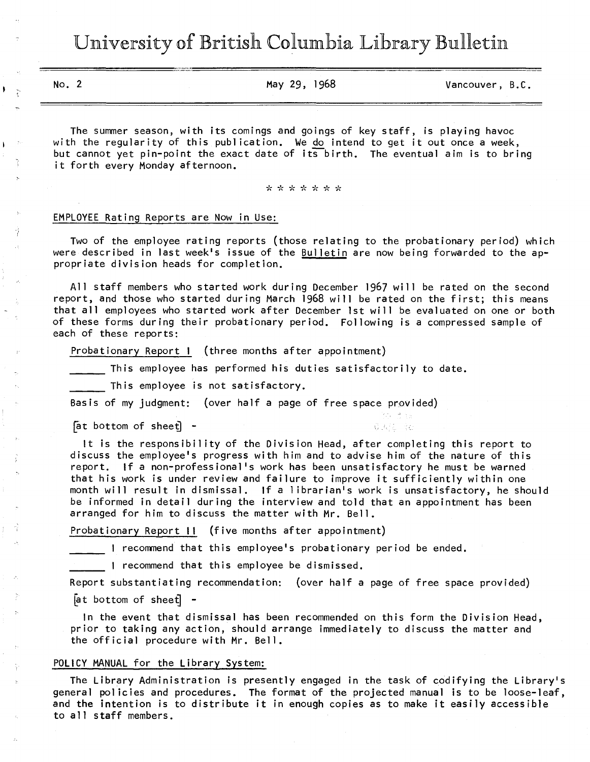University of British Columbia Library Bulletin

No. 2 May 29, 1968 Vancouver, B.C.

The summer season, with its comings and goings of key staff, is playing havoc with the regularity of this publication. We do intend to get it out once a week, but cannot yet pin-point the exact date of its birth. The eventual aim is to bring it forth every Monday afternoon.

\* \* \* \* \* \* \*

## EMPLOYEE Rating Reports are Now in Use:

Ŷ

Two of the employee rating reports (those relating to the probationary period) which were described in last week's issue of the Bulletin are now being forwarded to the appropriate division heads for completion.

All staff members who started work during December 1967 will be rated on the second report, and those who started during March 1968 will be rated on the first; this means that all employees who started work after December 1st will be evaluated on one or both of these forms during their probationary period. Following is a compressed sample of each of these reports:

Probationary Report I (three months after appointment)

This employee has performed his duties satisfactorily to date.

This employee is not satisfactory.

Basis of my judgment: (over half a page of free space provided)

 $[$ at bottom of sheet $]$  -

It is the responsibility of the Division Head, after completing this report to discuss the employee's progress with him and to advise him of the nature of this report. If a non-professional's work has been unsatisfactory he must be warned that his work is under review and failure to improve it sufficiently within one month will result in dismissal. If a librarian's work is unsatisfactory, he should be informed in detail during the interview and told that an appointment has been arranged for him to discuss the matter with Mr. Bell.

意味(を) 全る

Probationary Report II (five months after appointment)

I recommend that this employee's probationary period be ended.

I recommend that this employee be dismissed.

Report substantiating recommendation: (over half a page of free space provided)

 $[$ at bottom of sheet $]$  -

In the event that dismissal has been recommended on this form the Division Head, prior to taking any action, should arrange immediately to discuss the matter and the official procedure with Mr. Bell.

#### POLICY MANUAL for the Library System:

The Library Administration is presently engaged in the task of codifying the Library's general policies and procedures. The format of the projected manual is to be loose-leaf, and the intention is to distribute it in enough copies as to make it easily accessible to all staff members.